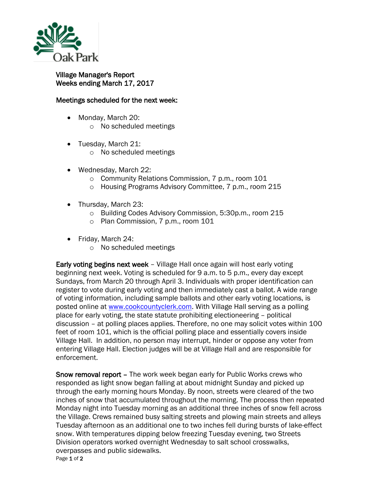

## Village Manager's Report Weeks ending March 17, 2017

## Meetings scheduled for the next week:

- Monday, March 20:
	- o No scheduled meetings
- Tuesday, March 21:
	- o No scheduled meetings
- Wednesday, March 22:
	- o Community Relations Commission, 7 p.m., room 101
	- o Housing Programs Advisory Committee, 7 p.m., room 215
- Thursday, March 23:
	- o Building Codes Advisory Commission, 5:30p.m., room 215
	- o Plan Commission, 7 p.m., room 101
- Friday, March 24:
	- o No scheduled meetings

Early voting begins next week – Village Hall once again will host early voting beginning next week. Voting is scheduled for 9 a.m. to 5 p.m., every day except Sundays, from March 20 through April 3. Individuals with proper identification can register to vote during early voting and then immediately cast a ballot. A wide range of voting information, including sample ballots and other early voting locations, is posted online at [www.cookcountyclerk.com.](http://www.cookcountyclerk.com/Pages/default.aspx) With Village Hall serving as a polling place for early voting, the state statute prohibiting electioneering – political discussion – at polling places applies. Therefore, no one may solicit votes within 100 feet of room 101, which is the official polling place and essentially covers inside Village Hall. In addition, no person may interrupt, hinder or oppose any voter from entering Village Hall. Election judges will be at Village Hall and are responsible for enforcement.

Page 1 of 2 Snow removal report – The work week began early for Public Works crews who responded as light snow began falling at about midnight Sunday and picked up through the early morning hours Monday. By noon, streets were cleared of the two inches of snow that accumulated throughout the morning. The process then repeated Monday night into Tuesday morning as an additional three inches of snow fell across the Village. Crews remained busy salting streets and plowing main streets and alleys Tuesday afternoon as an additional one to two inches fell during bursts of lake-effect snow. With temperatures dipping below freezing Tuesday evening, two Streets Division operators worked overnight Wednesday to salt school crosswalks, overpasses and public sidewalks.